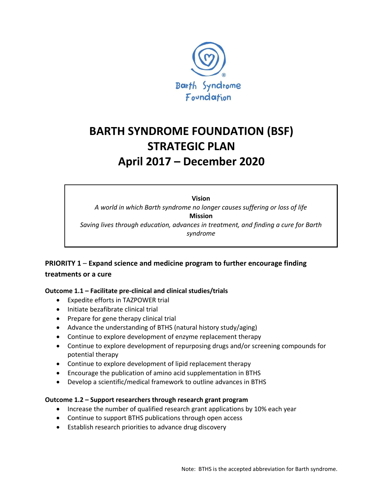

# **BARTH SYNDROME FOUNDATION (BSF) STRATEGIC PLAN April 2017 – December 2020**

**Vision** *A world in which Barth syndrome no longer causes suffering or loss of life* **Mission** *Saving lives through education, advances in treatment, and finding a cure for Barth syndrome*

# **PRIORITY 1** – **Expand science and medicine program to further encourage finding treatments or a cure**

## **Outcome 1.1 – Facilitate pre-clinical and clinical studies/trials**

- Expedite efforts in TAZPOWER trial
- Initiate bezafibrate clinical trial
- Prepare for gene therapy clinical trial
- Advance the understanding of BTHS (natural history study/aging)
- Continue to explore development of enzyme replacement therapy
- Continue to explore development of repurposing drugs and/or screening compounds for potential therapy
- Continue to explore development of lipid replacement therapy
- Encourage the publication of amino acid supplementation in BTHS
- Develop a scientific/medical framework to outline advances in BTHS

## **Outcome 1.2 – Support researchers through research grant program**

- Increase the number of qualified research grant applications by 10% each year
- Continue to support BTHS publications through open access
- Establish research priorities to advance drug discovery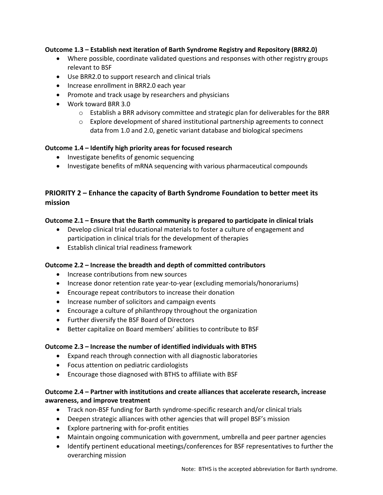## **Outcome 1.3 – Establish next iteration of Barth Syndrome Registry and Repository (BRR2.0)**

- Where possible, coordinate validated questions and responses with other registry groups relevant to BSF
- Use BRR2.0 to support research and clinical trials
- Increase enrollment in BRR2.0 each year
- Promote and track usage by researchers and physicians
- Work toward BRR 3.0
	- $\circ$  Establish a BRR advisory committee and strategic plan for deliverables for the BRR
	- $\circ$  Explore development of shared institutional partnership agreements to connect data from 1.0 and 2.0, genetic variant database and biological specimens

## **Outcome 1.4 – Identify high priority areas for focused research**

- Investigate benefits of genomic sequencing
- Investigate benefits of mRNA sequencing with various pharmaceutical compounds

## **PRIORITY 2 – Enhance the capacity of Barth Syndrome Foundation to better meet its mission**

## **Outcome 2.1 – Ensure that the Barth community is prepared to participate in clinical trials**

- Develop clinical trial educational materials to foster a culture of engagement and participation in clinical trials for the development of therapies
- Establish clinical trial readiness framework

## **Outcome 2.2 – Increase the breadth and depth of committed contributors**

- Increase contributions from new sources
- Increase donor retention rate year-to-year (excluding memorials/honorariums)
- Encourage repeat contributors to increase their donation
- Increase number of solicitors and campaign events
- Encourage a culture of philanthropy throughout the organization
- Further diversify the BSF Board of Directors
- Better capitalize on Board members' abilities to contribute to BSF

#### **Outcome 2.3 – Increase the number of identified individuals with BTHS**

- Expand reach through connection with all diagnostic laboratories
- Focus attention on pediatric cardiologists
- Encourage those diagnosed with BTHS to affiliate with BSF

## **Outcome 2.4 – Partner with institutions and create alliances that accelerate research, increase awareness, and improve treatment**

- Track non-BSF funding for Barth syndrome-specific research and/or clinical trials
- Deepen strategic alliances with other agencies that will propel BSF's mission
- Explore partnering with for-profit entities
- Maintain ongoing communication with government, umbrella and peer partner agencies
- Identify pertinent educational meetings/conferences for BSF representatives to further the overarching mission